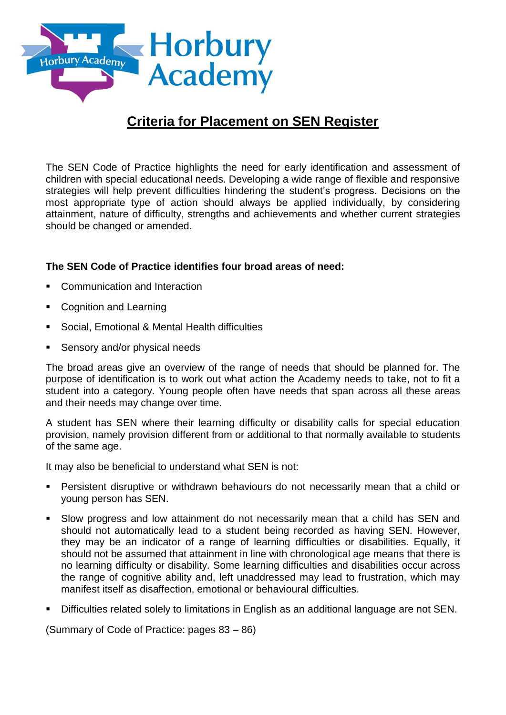

# **Criteria for Placement on SEN Register**

The SEN Code of Practice highlights the need for early identification and assessment of children with special educational needs. Developing a wide range of flexible and responsive strategies will help prevent difficulties hindering the student's progress. Decisions on the most appropriate type of action should always be applied individually, by considering attainment, nature of difficulty, strengths and achievements and whether current strategies should be changed or amended.

# **The SEN Code of Practice identifies four broad areas of need:**

- Communication and Interaction
- Cognition and Learning
- Social, Emotional & Mental Health difficulties
- Sensory and/or physical needs

The broad areas give an overview of the range of needs that should be planned for. The purpose of identification is to work out what action the Academy needs to take, not to fit a student into a category. Young people often have needs that span across all these areas and their needs may change over time.

A student has SEN where their learning difficulty or disability calls for special education provision, namely provision different from or additional to that normally available to students of the same age.

It may also be beneficial to understand what SEN is not:

- Persistent disruptive or withdrawn behaviours do not necessarily mean that a child or young person has SEN.
- Slow progress and low attainment do not necessarily mean that a child has SEN and should not automatically lead to a student being recorded as having SEN. However, they may be an indicator of a range of learning difficulties or disabilities. Equally, it should not be assumed that attainment in line with chronological age means that there is no learning difficulty or disability. Some learning difficulties and disabilities occur across the range of cognitive ability and, left unaddressed may lead to frustration, which may manifest itself as disaffection, emotional or behavioural difficulties.
- Difficulties related solely to limitations in English as an additional language are not SEN.

(Summary of Code of Practice: pages 83 – 86)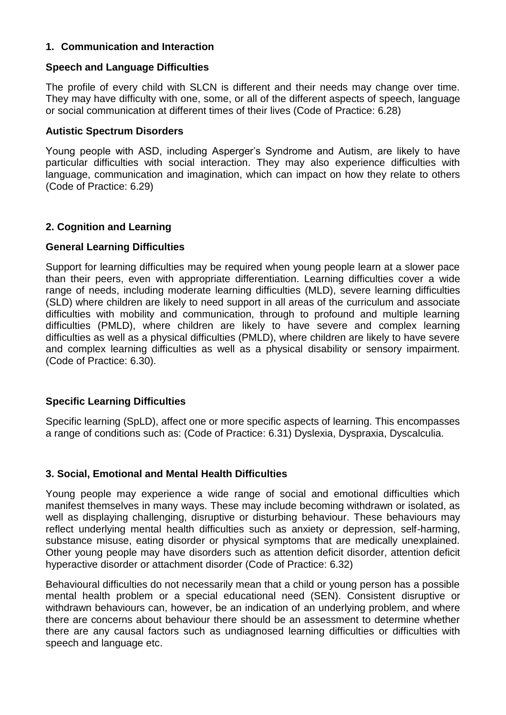# **1. Communication and Interaction**

# **Speech and Language Difficulties**

The profile of every child with SLCN is different and their needs may change over time. They may have difficulty with one, some, or all of the different aspects of speech, language or social communication at different times of their lives (Code of Practice: 6.28)

#### **Autistic Spectrum Disorders**

Young people with ASD, including Asperger's Syndrome and Autism, are likely to have particular difficulties with social interaction. They may also experience difficulties with language, communication and imagination, which can impact on how they relate to others (Code of Practice: 6.29)

# **2. Cognition and Learning**

# **General Learning Difficulties**

Support for learning difficulties may be required when young people learn at a slower pace than their peers, even with appropriate differentiation. Learning difficulties cover a wide range of needs, including moderate learning difficulties (MLD), severe learning difficulties (SLD) where children are likely to need support in all areas of the curriculum and associate difficulties with mobility and communication, through to profound and multiple learning difficulties (PMLD), where children are likely to have severe and complex learning difficulties as well as a physical difficulties (PMLD), where children are likely to have severe and complex learning difficulties as well as a physical disability or sensory impairment. (Code of Practice: 6.30).

# **Specific Learning Difficulties**

Specific learning (SpLD), affect one or more specific aspects of learning. This encompasses a range of conditions such as: (Code of Practice: 6.31) Dyslexia, Dyspraxia, Dyscalculia.

#### **3. Social, Emotional and Mental Health Difficulties**

Young people may experience a wide range of social and emotional difficulties which manifest themselves in many ways. These may include becoming withdrawn or isolated, as well as displaying challenging, disruptive or disturbing behaviour. These behaviours may reflect underlying mental health difficulties such as anxiety or depression, self-harming, substance misuse, eating disorder or physical symptoms that are medically unexplained. Other young people may have disorders such as attention deficit disorder, attention deficit hyperactive disorder or attachment disorder (Code of Practice: 6.32)

Behavioural difficulties do not necessarily mean that a child or young person has a possible mental health problem or a special educational need (SEN). Consistent disruptive or withdrawn behaviours can, however, be an indication of an underlying problem, and where there are concerns about behaviour there should be an assessment to determine whether there are any causal factors such as undiagnosed learning difficulties or difficulties with speech and language etc.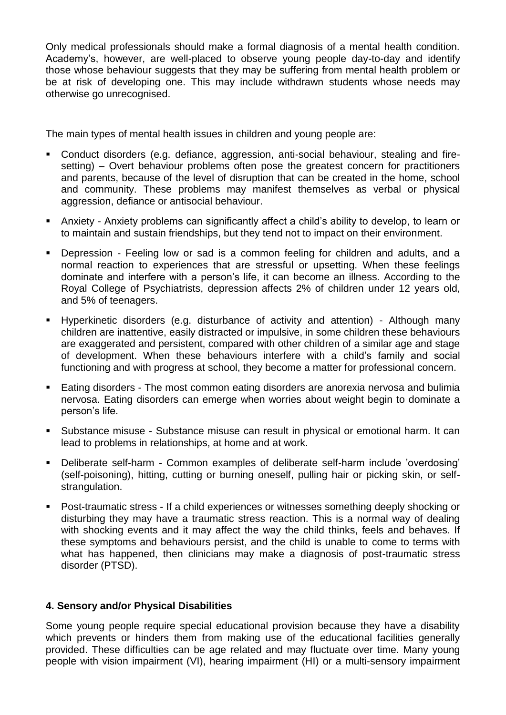Only medical professionals should make a formal diagnosis of a mental health condition. Academy's, however, are well-placed to observe young people day-to-day and identify those whose behaviour suggests that they may be suffering from mental health problem or be at risk of developing one. This may include withdrawn students whose needs may otherwise go unrecognised.

The main types of mental health issues in children and young people are:

- Conduct disorders (e.g. defiance, aggression, anti-social behaviour, stealing and firesetting) – Overt behaviour problems often pose the greatest concern for practitioners and parents, because of the level of disruption that can be created in the home, school and community. These problems may manifest themselves as verbal or physical aggression, defiance or antisocial behaviour.
- Anxiety Anxiety problems can significantly affect a child's ability to develop, to learn or to maintain and sustain friendships, but they tend not to impact on their environment.
- Depression Feeling low or sad is a common feeling for children and adults, and a normal reaction to experiences that are stressful or upsetting. When these feelings dominate and interfere with a person's life, it can become an illness. According to the Royal College of Psychiatrists, depression affects 2% of children under 12 years old, and 5% of teenagers.
- Hyperkinetic disorders (e.g. disturbance of activity and attention) Although many children are inattentive, easily distracted or impulsive, in some children these behaviours are exaggerated and persistent, compared with other children of a similar age and stage of development. When these behaviours interfere with a child's family and social functioning and with progress at school, they become a matter for professional concern.
- Eating disorders The most common eating disorders are anorexia nervosa and bulimia nervosa. Eating disorders can emerge when worries about weight begin to dominate a person's life.
- Substance misuse Substance misuse can result in physical or emotional harm. It can lead to problems in relationships, at home and at work.
- Deliberate self-harm Common examples of deliberate self-harm include 'overdosing' (self-poisoning), hitting, cutting or burning oneself, pulling hair or picking skin, or selfstrangulation.
- Post-traumatic stress If a child experiences or witnesses something deeply shocking or disturbing they may have a traumatic stress reaction. This is a normal way of dealing with shocking events and it may affect the way the child thinks, feels and behaves. If these symptoms and behaviours persist, and the child is unable to come to terms with what has happened, then clinicians may make a diagnosis of post-traumatic stress disorder (PTSD).

# **4. Sensory and/or Physical Disabilities**

Some young people require special educational provision because they have a disability which prevents or hinders them from making use of the educational facilities generally provided. These difficulties can be age related and may fluctuate over time. Many young people with vision impairment (VI), hearing impairment (HI) or a multi-sensory impairment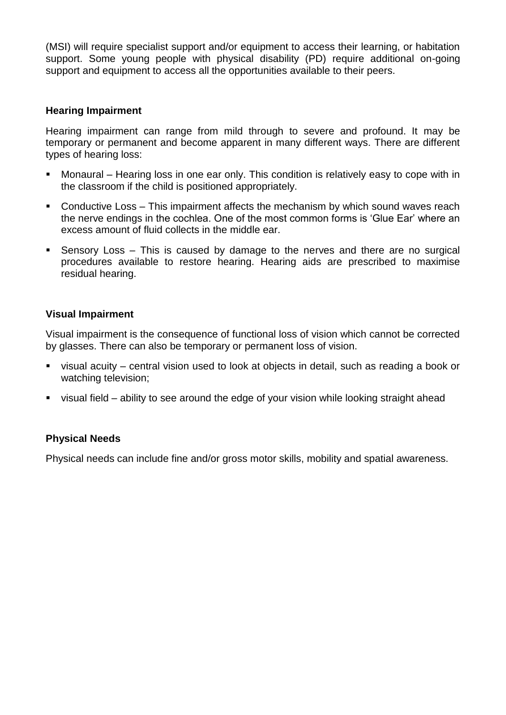(MSI) will require specialist support and/or equipment to access their learning, or habitation support. Some young people with physical disability (PD) require additional on-going support and equipment to access all the opportunities available to their peers.

#### **Hearing Impairment**

Hearing impairment can range from mild through to severe and profound. It may be temporary or permanent and become apparent in many different ways. There are different types of hearing loss:

- Monaural Hearing loss in one ear only. This condition is relatively easy to cope with in the classroom if the child is positioned appropriately.
- Conductive Loss This impairment affects the mechanism by which sound waves reach the nerve endings in the cochlea. One of the most common forms is 'Glue Ear' where an excess amount of fluid collects in the middle ear.
- Sensory Loss This is caused by damage to the nerves and there are no surgical procedures available to restore hearing. Hearing aids are prescribed to maximise residual hearing.

# **Visual Impairment**

Visual impairment is the consequence of functional loss of vision which cannot be corrected by glasses. There can also be temporary or permanent loss of vision.

- visual acuity central vision used to look at objects in detail, such as reading a book or watching television;
- visual field ability to see around the edge of your vision while looking straight ahead

# **Physical Needs**

Physical needs can include fine and/or gross motor skills, mobility and spatial awareness.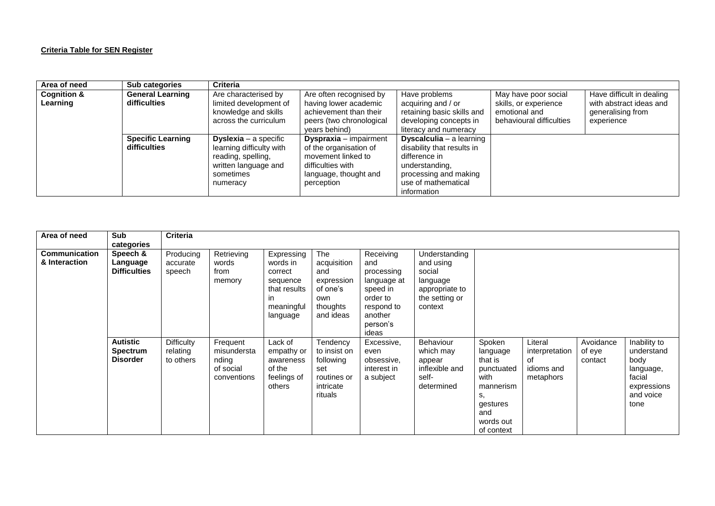#### **Criteria Table for SEN Register**

| Area of need           | <b>Sub categories</b>                    | <b>Criteria</b>                                                                                                                 |                                                                                                                                           |                                                                                                                                                                 |                                                                    |                                                            |
|------------------------|------------------------------------------|---------------------------------------------------------------------------------------------------------------------------------|-------------------------------------------------------------------------------------------------------------------------------------------|-----------------------------------------------------------------------------------------------------------------------------------------------------------------|--------------------------------------------------------------------|------------------------------------------------------------|
| <b>Cognition &amp;</b> | <b>General Learning</b>                  | Are characterised by                                                                                                            | Are often recognised by                                                                                                                   | Have problems                                                                                                                                                   | May have poor social                                               | Have difficult in dealing                                  |
| Learning               | difficulties                             | limited development of<br>knowledge and skills<br>across the curriculum                                                         | having lower academic<br>achievement than their<br>peers (two chronological<br>vears behind)                                              | acquiring and / or<br>retaining basic skills and<br>developing concepts in<br>literacy and numeracy                                                             | skills, or experience<br>emotional and<br>behavioural difficulties | with abstract ideas and<br>generalising from<br>experience |
|                        | <b>Specific Learning</b><br>difficulties | <b>Dyslexia</b> – a specific<br>learning difficulty with<br>reading, spelling,<br>written language and<br>sometimes<br>numeracy | <b>Dyspraxia</b> – impairment<br>of the organisation of<br>movement linked to<br>difficulties with<br>language, thought and<br>perception | <b>Dyscalculia</b> - a learning<br>disability that results in<br>difference in<br>understanding,<br>processing and making<br>use of mathematical<br>information |                                                                    |                                                            |

| Area of need         | Sub                 | <b>Criteria</b>   |             |              |              |             |                  |            |                |           |              |
|----------------------|---------------------|-------------------|-------------|--------------|--------------|-------------|------------------|------------|----------------|-----------|--------------|
|                      | categories          |                   |             |              |              |             |                  |            |                |           |              |
| <b>Communication</b> | Speech &            | Producing         | Retrieving  | Expressing   | The          | Receiving   | Understanding    |            |                |           |              |
| & Interaction        | Language            | accurate          | words       | words in     | acquisition  | and         | and using        |            |                |           |              |
|                      | <b>Difficulties</b> |                   | from        | correct      | and          |             | social           |            |                |           |              |
|                      |                     | speech            |             |              |              | processing  |                  |            |                |           |              |
|                      |                     |                   | memory      | sequence     | expression   | language at | language         |            |                |           |              |
|                      |                     |                   |             | that results | of one's     | speed in    | appropriate to   |            |                |           |              |
|                      |                     |                   |             | in.          | own          | order to    | the setting or   |            |                |           |              |
|                      |                     |                   |             | meaningful   | thoughts     | respond to  | context          |            |                |           |              |
|                      |                     |                   |             |              |              | another     |                  |            |                |           |              |
|                      |                     |                   |             | language     | and ideas    |             |                  |            |                |           |              |
|                      |                     |                   |             |              |              | person's    |                  |            |                |           |              |
|                      |                     |                   |             |              |              | ideas       |                  |            |                |           |              |
|                      | <b>Autistic</b>     | <b>Difficulty</b> | Frequent    | Lack of      | Tendency     | Excessive,  | <b>Behaviour</b> | Spoken     | Literal        | Avoidance | Inability to |
|                      | <b>Spectrum</b>     | relating          | misundersta | empathy or   | to insist on | even        | which may        | language   | interpretation | of eye    | understand   |
|                      | <b>Disorder</b>     | to others         | nding       | awareness    | following    | obsessive,  |                  | that is    | of             | contact   | body         |
|                      |                     |                   |             |              |              |             | appear           |            |                |           |              |
|                      |                     |                   | of social   | of the       | set          | interest in | inflexible and   | punctuated | idioms and     |           | language,    |
|                      |                     |                   | conventions | feelings of  | routines or  | a subject   | self-            | with       | metaphors      |           | facial       |
|                      |                     |                   |             | others       | intricate    |             | determined       | mannerism  |                |           | expressions  |
|                      |                     |                   |             |              | rituals      |             |                  | s.         |                |           | and voice    |
|                      |                     |                   |             |              |              |             |                  | gestures   |                |           | tone         |
|                      |                     |                   |             |              |              |             |                  |            |                |           |              |
|                      |                     |                   |             |              |              |             |                  | and        |                |           |              |
|                      |                     |                   |             |              |              |             |                  | words out  |                |           |              |
|                      |                     |                   |             |              |              |             |                  | of context |                |           |              |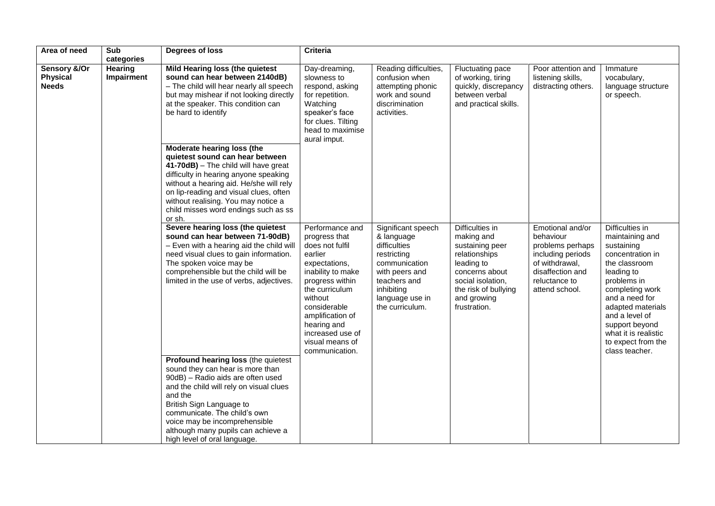| Area of need                                    | Sub<br>categories            | Degrees of loss                                                                                                                                                                                                                                                                                                                       | <b>Criteria</b>                                                                                                                                                                                                                                                  |                                                                                                                                                                        |                                                                                                                                                                               |                                                                                                                                                 |                                                                                                                                                                                                                                                                                  |
|-------------------------------------------------|------------------------------|---------------------------------------------------------------------------------------------------------------------------------------------------------------------------------------------------------------------------------------------------------------------------------------------------------------------------------------|------------------------------------------------------------------------------------------------------------------------------------------------------------------------------------------------------------------------------------------------------------------|------------------------------------------------------------------------------------------------------------------------------------------------------------------------|-------------------------------------------------------------------------------------------------------------------------------------------------------------------------------|-------------------------------------------------------------------------------------------------------------------------------------------------|----------------------------------------------------------------------------------------------------------------------------------------------------------------------------------------------------------------------------------------------------------------------------------|
| Sensory &/Or<br><b>Physical</b><br><b>Needs</b> | <b>Hearing</b><br>Impairment | Mild Hearing loss (the quietest<br>sound can hear between 2140dB)<br>- The child will hear nearly all speech<br>but may mishear if not looking directly<br>at the speaker. This condition can<br>be hard to identify                                                                                                                  | Day-dreaming,<br>slowness to<br>respond, asking<br>for repetition.<br>Watching<br>speaker's face<br>for clues. Tilting<br>head to maximise<br>aural imput.                                                                                                       | Reading difficulties,<br>confusion when<br>attempting phonic<br>work and sound<br>discrimination<br>activities.                                                        | Fluctuating pace<br>of working, tiring<br>quickly, discrepancy<br>between verbal<br>and practical skills.                                                                     | Poor attention and<br>listening skills,<br>distracting others.                                                                                  | Immature<br>vocabulary,<br>language structure<br>or speech.                                                                                                                                                                                                                      |
|                                                 |                              | Moderate hearing loss (the<br>quietest sound can hear between<br>41-70dB) - The child will have great<br>difficulty in hearing anyone speaking<br>without a hearing aid. He/she will rely<br>on lip-reading and visual clues, often<br>without realising. You may notice a<br>child misses word endings such as ss<br>or sh.          |                                                                                                                                                                                                                                                                  |                                                                                                                                                                        |                                                                                                                                                                               |                                                                                                                                                 |                                                                                                                                                                                                                                                                                  |
|                                                 |                              | Severe hearing loss (the quietest<br>sound can hear between 71-90dB)<br>- Even with a hearing aid the child will<br>need visual clues to gain information.<br>The spoken voice may be<br>comprehensible but the child will be<br>limited in the use of verbs, adjectives.                                                             | Performance and<br>progress that<br>does not fulfil<br>earlier<br>expectations,<br>inability to make<br>progress within<br>the curriculum<br>without<br>considerable<br>amplification of<br>hearing and<br>increased use of<br>visual means of<br>communication. | Significant speech<br>& language<br>difficulties<br>restricting<br>communication<br>with peers and<br>teachers and<br>inhibiting<br>language use in<br>the curriculum. | Difficulties in<br>making and<br>sustaining peer<br>relationships<br>leading to<br>concerns about<br>social isolation,<br>the risk of bullying<br>and growing<br>frustration. | Emotional and/or<br>behaviour<br>problems perhaps<br>including periods<br>of withdrawal,<br>disaffection and<br>reluctance to<br>attend school. | Difficulties in<br>maintaining and<br>sustaining<br>concentration in<br>the classroom<br>leading to<br>problems in<br>completing work<br>and a need for<br>adapted materials<br>and a level of<br>support beyond<br>what it is realistic<br>to expect from the<br>class teacher. |
|                                                 |                              | Profound hearing loss (the quietest<br>sound they can hear is more than<br>90dB) - Radio aids are often used<br>and the child will rely on visual clues<br>and the<br>British Sign Language to<br>communicate. The child's own<br>voice may be incomprehensible<br>although many pupils can achieve a<br>high level of oral language. |                                                                                                                                                                                                                                                                  |                                                                                                                                                                        |                                                                                                                                                                               |                                                                                                                                                 |                                                                                                                                                                                                                                                                                  |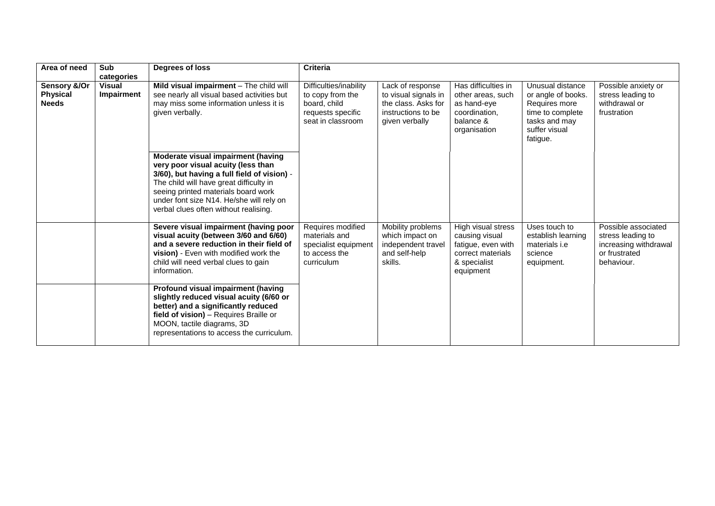| Area of need                                    | <b>Sub</b><br>categories    | Degrees of loss                                                                                                                                                                                                                                                                                | <b>Criteria</b>                                                                                      |                                                                                                         |                                                                                                              |                                                                                                                           |                                                                                                  |
|-------------------------------------------------|-----------------------------|------------------------------------------------------------------------------------------------------------------------------------------------------------------------------------------------------------------------------------------------------------------------------------------------|------------------------------------------------------------------------------------------------------|---------------------------------------------------------------------------------------------------------|--------------------------------------------------------------------------------------------------------------|---------------------------------------------------------------------------------------------------------------------------|--------------------------------------------------------------------------------------------------|
| Sensory &/Or<br><b>Physical</b><br><b>Needs</b> | <b>Visual</b><br>Impairment | Mild visual impairment - The child will<br>see nearly all visual based activities but<br>may miss some information unless it is<br>given verbally.                                                                                                                                             | Difficulties/inability<br>to copy from the<br>board, child<br>requests specific<br>seat in classroom | Lack of response<br>to visual signals in<br>the class. Asks for<br>instructions to be<br>given verbally | Has difficulties in<br>other areas, such<br>as hand-eye<br>coordination,<br>balance &<br>organisation        | Unusual distance<br>or angle of books.<br>Requires more<br>time to complete<br>tasks and may<br>suffer visual<br>fatigue. | Possible anxiety or<br>stress leading to<br>withdrawal or<br>frustration                         |
|                                                 |                             | Moderate visual impairment (having<br>very poor visual acuity (less than<br>3/60), but having a full field of vision) -<br>The child will have great difficulty in<br>seeing printed materials board work<br>under font size N14. He/she will rely on<br>verbal clues often without realising. |                                                                                                      |                                                                                                         |                                                                                                              |                                                                                                                           |                                                                                                  |
|                                                 |                             | Severe visual impairment (having poor<br>visual acuity (between 3/60 and 6/60)<br>and a severe reduction in their field of<br>vision) - Even with modified work the<br>child will need verbal clues to gain<br>information.                                                                    | Requires modified<br>materials and<br>specialist equipment<br>to access the<br>curriculum            | Mobility problems<br>which impact on<br>independent travel<br>and self-help<br>skills.                  | High visual stress<br>causing visual<br>fatigue, even with<br>correct materials<br>& specialist<br>equipment | Uses touch to<br>establish learning<br>materials <i>i.e</i><br>science<br>equipment.                                      | Possible associated<br>stress leading to<br>increasing withdrawal<br>or frustrated<br>behaviour. |
|                                                 |                             | Profound visual impairment (having<br>slightly reduced visual acuity (6/60 or<br>better) and a significantly reduced<br>field of vision) - Requires Braille or<br>MOON, tactile diagrams, 3D<br>representations to access the curriculum.                                                      |                                                                                                      |                                                                                                         |                                                                                                              |                                                                                                                           |                                                                                                  |